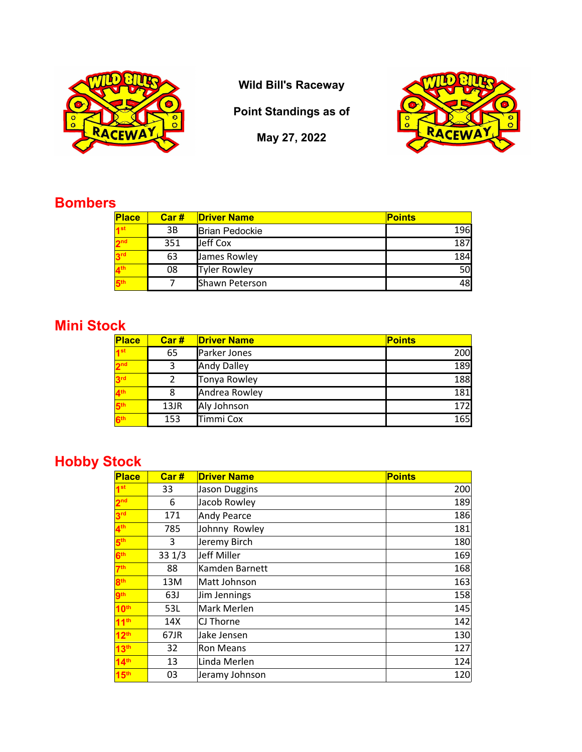

**Wild Bill's Raceway**

**Point Standings as of**

**May 27, 2022**



## **Bombers**

| <b>Place</b>    | Car# | <b>Driver Name</b>    | <b>Points</b> |
|-----------------|------|-----------------------|---------------|
| 1st             | 3B   | <b>Brian Pedockie</b> | <b>196</b>    |
| 2 <sub>nd</sub> | 351  | Jeff Cox              | 187           |
| 3 <sup>rd</sup> | 63   | James Rowley          | 184           |
| 4 <sup>th</sup> | 08   | <b>Tyler Rowley</b>   | 50            |
| 5 <sup>th</sup> |      | Shawn Peterson        | 48            |

## **Mini Stock**

| <b>Place</b>    | Car# | <b>Driver Name</b> | <b>Points</b> |
|-----------------|------|--------------------|---------------|
| 1st             | 65   | Parker Jones       | 200           |
| 2 <sub>nd</sub> | 3    | <b>Andy Dalley</b> | 189           |
| 3rd             | 2    | Tonya Rowley       | 188           |
| 4 <sup>th</sup> | 8    | Andrea Rowley      | 181           |
| 5 <sup>th</sup> | 13JR | Aly Johnson        | <b>172</b>    |
| 6 <sup>th</sup> | 153  | <b>Timmi Cox</b>   | <b>165</b>    |

# **Hobby Stock**

| <b>Place</b>     | Car#       | <b>Driver Name</b>   | <b>Points</b> |
|------------------|------------|----------------------|---------------|
| 1 <sup>st</sup>  | 33         | <b>Jason Duggins</b> | 200           |
| 2 <sup>nd</sup>  | 6          | Jacob Rowley         | 189           |
| 3 <sup>rd</sup>  | 171        | Andy Pearce          | 186           |
| $4^{\text{th}}$  | 785        | Johnny Rowley        | 181           |
| $5^{\text{th}}$  | 3          | Jeremy Birch         | 180           |
| 6 <sup>th</sup>  | 331/3      | Jeff Miller          | 169           |
| 7 <sup>th</sup>  | 88         | Kamden Barnett       | 168           |
| 8 <sup>th</sup>  | 13M        | Matt Johnson         | 163           |
| <b>gth</b>       | <b>63J</b> | Jim Jennings         | 158           |
| 10 <sup>th</sup> | 53L        | Mark Merlen          | 145           |
| 11 <sup>th</sup> | 14X        | CJ Thorne            | 142           |
| 12 <sup>th</sup> | 67JR       | Jake Jensen          | 130           |
| 13 <sup>th</sup> | 32         | <b>Ron Means</b>     | 127           |
| 14 <sup>th</sup> | 13         | Linda Merlen         | 124           |
| 15 <sup>th</sup> | 03         | Jeramy Johnson       | 120           |